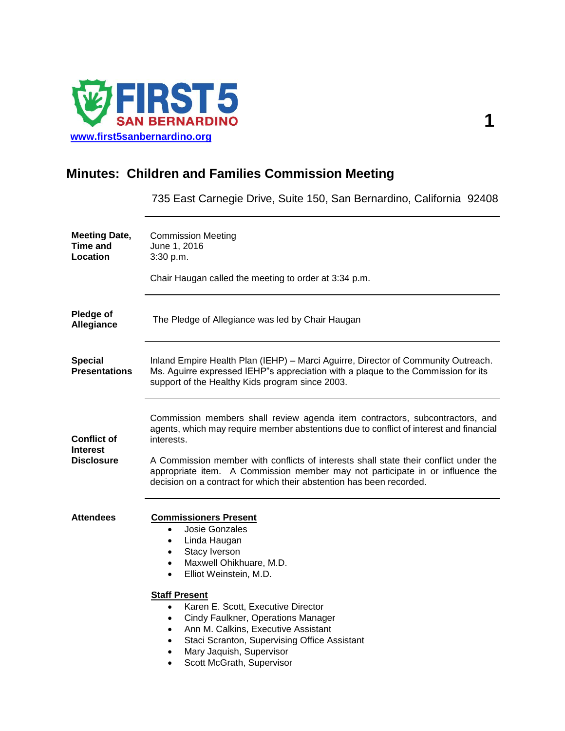

# **Minutes: Children and Families Commission Meeting**

735 East Carnegie Drive, Suite 150, San Bernardino, California 92408

| <b>Meeting Date,</b><br><b>Time and</b><br>Location        | <b>Commission Meeting</b><br>June 1, 2016<br>3:30 p.m.<br>Chair Haugan called the meeting to order at 3:34 p.m.                                                                                                                                                                                                                                                                                                                       |  |  |  |
|------------------------------------------------------------|---------------------------------------------------------------------------------------------------------------------------------------------------------------------------------------------------------------------------------------------------------------------------------------------------------------------------------------------------------------------------------------------------------------------------------------|--|--|--|
| Pledge of<br>Allegiance                                    | The Pledge of Allegiance was led by Chair Haugan                                                                                                                                                                                                                                                                                                                                                                                      |  |  |  |
| <b>Special</b><br><b>Presentations</b>                     | Inland Empire Health Plan (IEHP) - Marci Aguirre, Director of Community Outreach.<br>Ms. Aguirre expressed IEHP"s appreciation with a plaque to the Commission for its<br>support of the Healthy Kids program since 2003.                                                                                                                                                                                                             |  |  |  |
| <b>Conflict of</b><br><b>Interest</b><br><b>Disclosure</b> | Commission members shall review agenda item contractors, subcontractors, and<br>agents, which may require member abstentions due to conflict of interest and financial<br>interests.<br>A Commission member with conflicts of interests shall state their conflict under the<br>appropriate item. A Commission member may not participate in or influence the<br>decision on a contract for which their abstention has been recorded. |  |  |  |
| <b>Attendees</b>                                           | <b>Commissioners Present</b><br>Josie Gonzales<br>$\bullet$<br>Linda Haugan<br>٠<br>Stacy Iverson<br>$\bullet$<br>Maxwell Ohikhuare, M.D.<br>$\bullet$<br>Elliot Weinstein, M.D.<br>$\bullet$                                                                                                                                                                                                                                         |  |  |  |
|                                                            | <b>Staff Present</b><br>Karen E. Scott, Executive Director<br>$\bullet$<br>Cindy Faulkner, Operations Manager<br>$\bullet$<br>Ann M. Calkins, Executive Assistant<br>$\bullet$<br>Staci Scranton, Supervising Office Assistant<br>$\bullet$<br>Mary Jaquish, Supervisor<br>$\bullet$<br>Scott McGrath, Supervisor                                                                                                                     |  |  |  |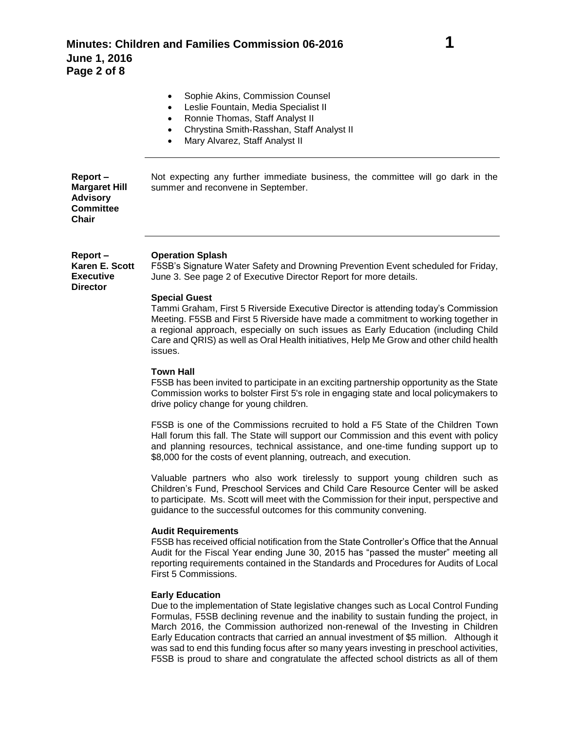|                                                                                 | Sophie Akins, Commission Counsel<br>Leslie Fountain, Media Specialist II<br>Ronnie Thomas, Staff Analyst II<br>٠<br>Chrystina Smith-Rasshan, Staff Analyst II<br>٠<br>Mary Alvarez, Staff Analyst II                                                                                                                                                                                                                                                                                                                                                                            |
|---------------------------------------------------------------------------------|---------------------------------------------------------------------------------------------------------------------------------------------------------------------------------------------------------------------------------------------------------------------------------------------------------------------------------------------------------------------------------------------------------------------------------------------------------------------------------------------------------------------------------------------------------------------------------|
| Report-<br><b>Margaret Hill</b><br><b>Advisory</b><br><b>Committee</b><br>Chair | Not expecting any further immediate business, the committee will go dark in the<br>summer and reconvene in September.                                                                                                                                                                                                                                                                                                                                                                                                                                                           |
| Report-<br>Karen E. Scott<br><b>Executive</b><br><b>Director</b>                | <b>Operation Splash</b><br>F5SB's Signature Water Safety and Drowning Prevention Event scheduled for Friday,<br>June 3. See page 2 of Executive Director Report for more details.<br><b>Special Guest</b><br>Tammi Graham, First 5 Riverside Executive Director is attending today's Commission<br>Meeting. F5SB and First 5 Riverside have made a commitment to working together in<br>a regional approach, especially on such issues as Early Education (including Child<br>Care and QRIS) as well as Oral Health initiatives, Help Me Grow and other child health<br>issues. |
|                                                                                 | <b>Town Hall</b><br>F5SB has been invited to participate in an exciting partnership opportunity as the State                                                                                                                                                                                                                                                                                                                                                                                                                                                                    |

Commission works to bolster First 5's role in engaging state and local policymakers to drive policy change for young children.

F5SB is one of the Commissions recruited to hold a F5 State of the Children Town Hall forum this fall. The State will support our Commission and this event with policy and planning resources, technical assistance, and one-time funding support up to \$8,000 for the costs of event planning, outreach, and execution.

Valuable partners who also work tirelessly to support young children such as Children's Fund, Preschool Services and Child Care Resource Center will be asked to participate. Ms. Scott will meet with the Commission for their input, perspective and guidance to the successful outcomes for this community convening.

# **Audit Requirements**

F5SB has received official notification from the State Controller's Office that the Annual Audit for the Fiscal Year ending June 30, 2015 has "passed the muster" meeting all reporting requirements contained in the Standards and Procedures for Audits of Local First 5 Commissions.

# **Early Education**

Due to the implementation of State legislative changes such as Local Control Funding Formulas, F5SB declining revenue and the inability to sustain funding the project, in March 2016, the Commission authorized non-renewal of the Investing in Children Early Education contracts that carried an annual investment of \$5 million. Although it was sad to end this funding focus after so many years investing in preschool activities, F5SB is proud to share and congratulate the affected school districts as all of them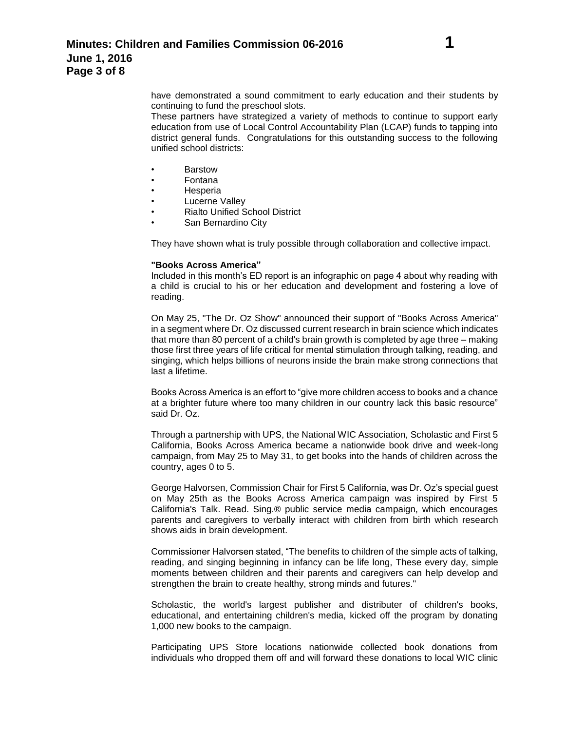These partners have strategized a variety of methods to continue to support early education from use of Local Control Accountability Plan (LCAP) funds to tapping into district general funds. Congratulations for this outstanding success to the following unified school districts:

- Barstow
- Fontana
- **Hesperia**
- **Lucerne Valley**
- Rialto Unified School District
- San Bernardino City

They have shown what is truly possible through collaboration and collective impact.

# **"Books Across America"**

Included in this month's ED report is an infographic on page 4 about why reading with a child is crucial to his or her education and development and fostering a love of reading.

On May 25, "The Dr. Oz Show" announced their support of "Books Across America" in a segment where Dr. Oz discussed current research in brain science which indicates that more than 80 percent of a child's brain growth is completed by age three – making those first three years of life critical for mental stimulation through talking, reading, and singing, which helps billions of neurons inside the brain make strong connections that last a lifetime.

Books Across America is an effort to "give more children access to books and a chance at a brighter future where too many children in our country lack this basic resource" said Dr. Oz.

Through a partnership with UPS, the National WIC Association, Scholastic and First 5 California, Books Across America became a nationwide book drive and week-long campaign, from May 25 to May 31, to get books into the hands of children across the country, ages 0 to 5.

George Halvorsen, Commission Chair for First 5 California, was Dr. Oz's special guest on May 25th as the Books Across America campaign was inspired by First 5 California's Talk. Read. Sing.® public service media campaign, which encourages parents and caregivers to verbally interact with children from birth which research shows aids in brain development.

Commissioner Halvorsen stated, "The benefits to children of the simple acts of talking, reading, and singing beginning in infancy can be life long, These every day, simple moments between children and their parents and caregivers can help develop and strengthen the brain to create healthy, strong minds and futures."

Scholastic, the world's largest publisher and distributer of children's books, educational, and entertaining children's media, kicked off the program by donating 1,000 new books to the campaign.

Participating UPS Store locations nationwide collected book donations from individuals who dropped them off and will forward these donations to local WIC clinic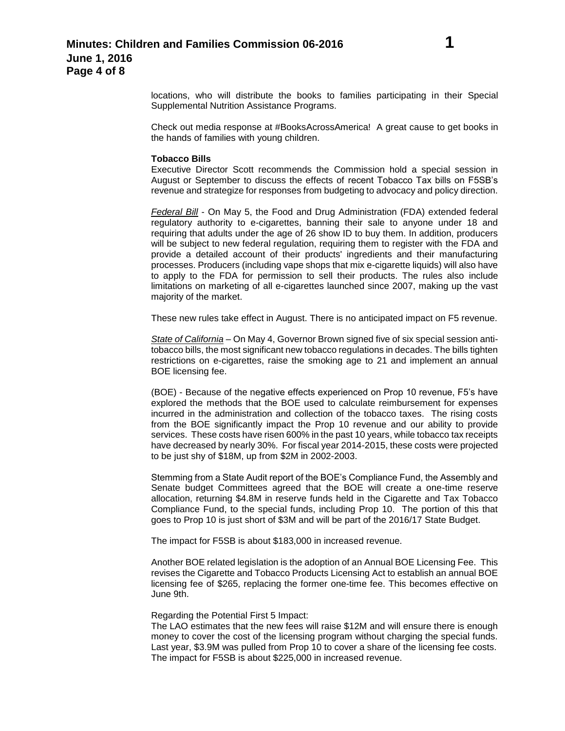Check out media response at #BooksAcrossAmerica! A great cause to get books in the hands of families with young children.

### **Tobacco Bills**

Executive Director Scott recommends the Commission hold a special session in August or September to discuss the effects of recent Tobacco Tax bills on F5SB's revenue and strategize for responses from budgeting to advocacy and policy direction.

*Federal Bill* - On May 5, the Food and Drug Administration (FDA) extended federal regulatory authority to e-cigarettes, banning their sale to anyone under 18 and requiring that adults under the age of 26 show ID to buy them. In addition, producers will be subject to new federal regulation, requiring them to register with the FDA and provide a detailed account of their products' ingredients and their manufacturing processes. Producers (including vape shops that mix e-cigarette liquids) will also have to apply to the FDA for permission to sell their products. The rules also include limitations on marketing of all e-cigarettes launched since 2007, making up the vast majority of the market.

These new rules take effect in August. There is no anticipated impact on F5 revenue.

*State of California* – On May 4, Governor Brown signed five of six special session antitobacco bills, the most significant new tobacco regulations in decades. The bills tighten restrictions on e-cigarettes, raise the smoking age to 21 and implement an annual BOE licensing fee.

(BOE) - Because of the negative effects experienced on Prop 10 revenue, F5's have explored the methods that the BOE used to calculate reimbursement for expenses incurred in the administration and collection of the tobacco taxes. The rising costs from the BOE significantly impact the Prop 10 revenue and our ability to provide services. These costs have risen 600% in the past 10 years, while tobacco tax receipts have decreased by nearly 30%. For fiscal year 2014-2015, these costs were projected to be just shy of \$18M, up from \$2M in 2002-2003.

Stemming from a State Audit report of the BOE's Compliance Fund, the Assembly and Senate budget Committees agreed that the BOE will create a one-time reserve allocation, returning \$4.8M in reserve funds held in the Cigarette and Tax Tobacco Compliance Fund, to the special funds, including Prop 10. The portion of this that goes to Prop 10 is just short of \$3M and will be part of the 2016/17 State Budget.

The impact for F5SB is about \$183,000 in increased revenue.

Another BOE related legislation is the adoption of an Annual BOE Licensing Fee. This revises the Cigarette and Tobacco Products Licensing Act to establish an annual BOE licensing fee of \$265, replacing the former one-time fee. This becomes effective on June 9th.

#### Regarding the Potential First 5 Impact:

The LAO estimates that the new fees will raise \$12M and will ensure there is enough money to cover the cost of the licensing program without charging the special funds. Last year, \$3.9M was pulled from Prop 10 to cover a share of the licensing fee costs. The impact for F5SB is about \$225,000 in increased revenue.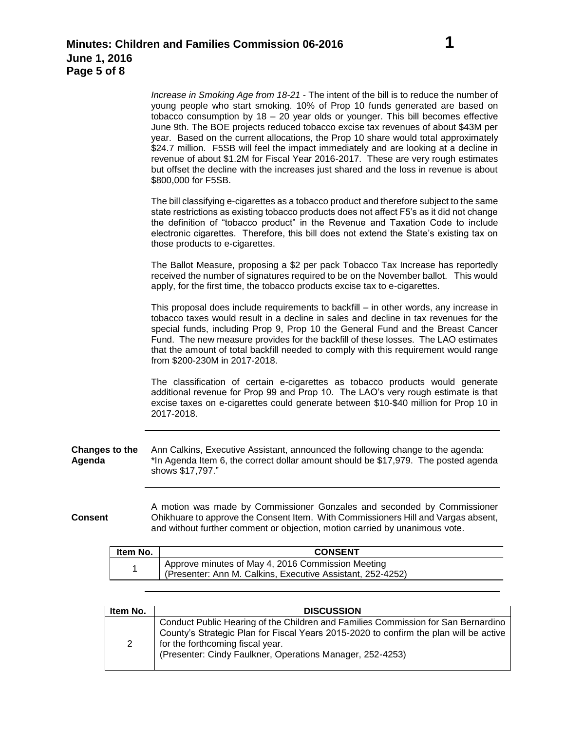*Increase in Smoking Age from 18-21* - The intent of the bill is to reduce the number of young people who start smoking. 10% of Prop 10 funds generated are based on tobacco consumption by  $18 - 20$  year olds or younger. This bill becomes effective June 9th. The BOE projects reduced tobacco excise tax revenues of about \$43M per year. Based on the current allocations, the Prop 10 share would total approximately \$24.7 million. F5SB will feel the impact immediately and are looking at a decline in revenue of about \$1.2M for Fiscal Year 2016-2017. These are very rough estimates but offset the decline with the increases just shared and the loss in revenue is about \$800,000 for F5SB.

The bill classifying e-cigarettes as a tobacco product and therefore subject to the same state restrictions as existing tobacco products does not affect F5's as it did not change the definition of "tobacco product" in the Revenue and Taxation Code to include electronic cigarettes. Therefore, this bill does not extend the State's existing tax on those products to e-cigarettes.

The Ballot Measure, proposing a \$2 per pack Tobacco Tax Increase has reportedly received the number of signatures required to be on the November ballot. This would apply, for the first time, the tobacco products excise tax to e-cigarettes.

This proposal does include requirements to backfill – in other words, any increase in tobacco taxes would result in a decline in sales and decline in tax revenues for the special funds, including Prop 9, Prop 10 the General Fund and the Breast Cancer Fund. The new measure provides for the backfill of these losses. The LAO estimates that the amount of total backfill needed to comply with this requirement would range from \$200-230M in 2017-2018.

The classification of certain e-cigarettes as tobacco products would generate additional revenue for Prop 99 and Prop 10. The LAO's very rough estimate is that excise taxes on e-cigarettes could generate between \$10-\$40 million for Prop 10 in 2017-2018.

**Changes to the Agenda** Ann Calkins, Executive Assistant, announced the following change to the agenda: \*In Agenda Item 6, the correct dollar amount should be \$17,979. The posted agenda shows \$17,797."

**Consent** A motion was made by Commissioner Gonzales and seconded by Commissioner Ohikhuare to approve the Consent Item. With Commissioners Hill and Vargas absent, and without further comment or objection, motion carried by unanimous vote.

| ltem No. | <b>CONSENT</b>                                                                                                  |
|----------|-----------------------------------------------------------------------------------------------------------------|
|          | Approve minutes of May 4, 2016 Commission Meeting<br>(Presenter: Ann M. Calkins, Executive Assistant, 252-4252) |

| Item No. | <b>DISCUSSION</b>                                                                                                                                                                                                                                                           |
|----------|-----------------------------------------------------------------------------------------------------------------------------------------------------------------------------------------------------------------------------------------------------------------------------|
| 2        | Conduct Public Hearing of the Children and Families Commission for San Bernardino<br>County's Strategic Plan for Fiscal Years 2015-2020 to confirm the plan will be active<br>for the forthcoming fiscal year.<br>(Presenter: Cindy Faulkner, Operations Manager, 252-4253) |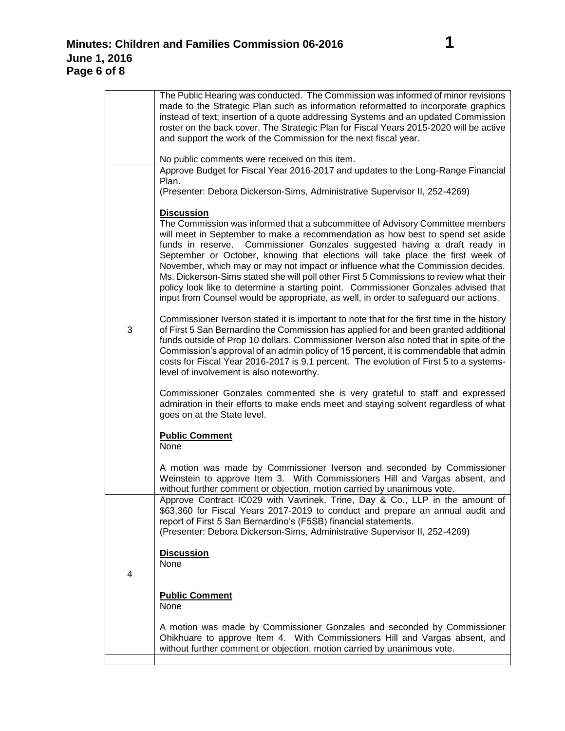|   | The Public Hearing was conducted. The Commission was informed of minor revisions<br>made to the Strategic Plan such as information reformatted to incorporate graphics<br>instead of text; insertion of a quote addressing Systems and an updated Commission<br>roster on the back cover. The Strategic Plan for Fiscal Years 2015-2020 will be active<br>and support the work of the Commission for the next fiscal year.<br>No public comments were received on this item.                                                                                                                                                                                                                 |
|---|----------------------------------------------------------------------------------------------------------------------------------------------------------------------------------------------------------------------------------------------------------------------------------------------------------------------------------------------------------------------------------------------------------------------------------------------------------------------------------------------------------------------------------------------------------------------------------------------------------------------------------------------------------------------------------------------|
|   | Approve Budget for Fiscal Year 2016-2017 and updates to the Long-Range Financial<br>Plan.<br>(Presenter: Debora Dickerson-Sims, Administrative Supervisor II, 252-4269)                                                                                                                                                                                                                                                                                                                                                                                                                                                                                                                      |
|   | <b>Discussion</b>                                                                                                                                                                                                                                                                                                                                                                                                                                                                                                                                                                                                                                                                            |
| 3 | The Commission was informed that a subcommittee of Advisory Committee members<br>will meet in September to make a recommendation as how best to spend set aside<br>Commissioner Gonzales suggested having a draft ready in<br>funds in reserve.<br>September or October, knowing that elections will take place the first week of<br>November, which may or may not impact or influence what the Commission decides.<br>Ms. Dickerson-Sims stated she will poll other First 5 Commissions to review what their<br>policy look like to determine a starting point. Commissioner Gonzales advised that<br>input from Counsel would be appropriate, as well, in order to safeguard our actions. |
|   | Commissioner Iverson stated it is important to note that for the first time in the history<br>of First 5 San Bernardino the Commission has applied for and been granted additional<br>funds outside of Prop 10 dollars. Commissioner Iverson also noted that in spite of the<br>Commission's approval of an admin policy of 15 percent, it is commendable that admin<br>costs for Fiscal Year 2016-2017 is 9.1 percent. The evolution of First 5 to a systems-<br>level of involvement is also noteworthy.                                                                                                                                                                                   |
|   | Commissioner Gonzales commented she is very grateful to staff and expressed<br>admiration in their efforts to make ends meet and staying solvent regardless of what<br>goes on at the State level.                                                                                                                                                                                                                                                                                                                                                                                                                                                                                           |
|   | <b>Public Comment</b><br>None                                                                                                                                                                                                                                                                                                                                                                                                                                                                                                                                                                                                                                                                |
|   | A motion was made by Commissioner Iverson and seconded by Commissioner<br>Weinstein to approve Item 3. With Commissioners Hill and Vargas absent, and<br>without further comment or objection, motion carried by unanimous vote.                                                                                                                                                                                                                                                                                                                                                                                                                                                             |
|   | Approve Contract IC029 with Vavrinek, Trine, Day & Co., LLP in the amount of<br>\$63,360 for Fiscal Years 2017-2019 to conduct and prepare an annual audit and<br>report of First 5 San Bernardino's (F5SB) financial statements.<br>(Presenter: Debora Dickerson-Sims, Administrative Supervisor II, 252-4269)                                                                                                                                                                                                                                                                                                                                                                              |
| 4 | <b>Discussion</b><br>None                                                                                                                                                                                                                                                                                                                                                                                                                                                                                                                                                                                                                                                                    |
|   | <b>Public Comment</b><br>None                                                                                                                                                                                                                                                                                                                                                                                                                                                                                                                                                                                                                                                                |
|   | A motion was made by Commissioner Gonzales and seconded by Commissioner<br>Ohikhuare to approve Item 4. With Commissioners Hill and Vargas absent, and<br>without further comment or objection, motion carried by unanimous vote.                                                                                                                                                                                                                                                                                                                                                                                                                                                            |
|   |                                                                                                                                                                                                                                                                                                                                                                                                                                                                                                                                                                                                                                                                                              |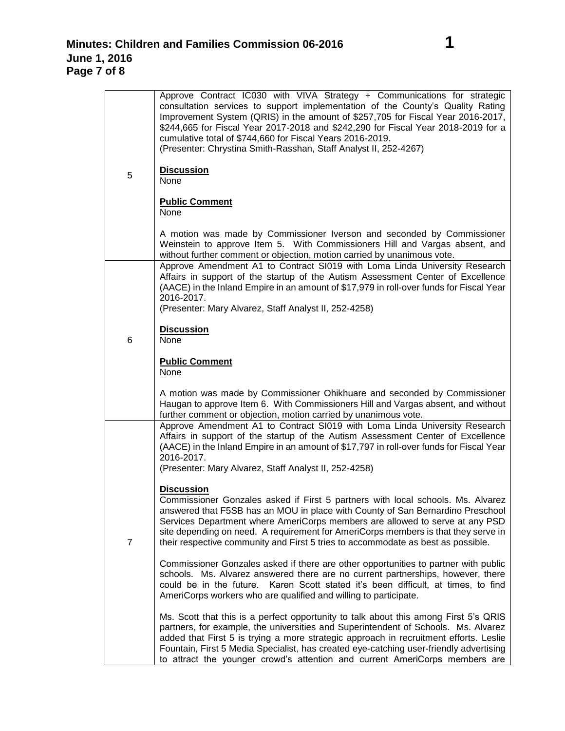| 5              | Approve Contract IC030 with VIVA Strategy + Communications for strategic<br>consultation services to support implementation of the County's Quality Rating<br>Improvement System (QRIS) in the amount of \$257,705 for Fiscal Year 2016-2017,<br>\$244,665 for Fiscal Year 2017-2018 and \$242,290 for Fiscal Year 2018-2019 for a<br>cumulative total of \$744,660 for Fiscal Years 2016-2019.<br>(Presenter: Chrystina Smith-Rasshan, Staff Analyst II, 252-4267)<br><b>Discussion</b> |
|----------------|------------------------------------------------------------------------------------------------------------------------------------------------------------------------------------------------------------------------------------------------------------------------------------------------------------------------------------------------------------------------------------------------------------------------------------------------------------------------------------------|
|                | None<br><b>Public Comment</b>                                                                                                                                                                                                                                                                                                                                                                                                                                                            |
|                | None                                                                                                                                                                                                                                                                                                                                                                                                                                                                                     |
|                | A motion was made by Commissioner Iverson and seconded by Commissioner<br>Weinstein to approve Item 5. With Commissioners Hill and Vargas absent, and<br>without further comment or objection, motion carried by unanimous vote.                                                                                                                                                                                                                                                         |
|                | Approve Amendment A1 to Contract SI019 with Loma Linda University Research<br>Affairs in support of the startup of the Autism Assessment Center of Excellence<br>(AACE) in the Inland Empire in an amount of \$17,979 in roll-over funds for Fiscal Year<br>2016-2017.                                                                                                                                                                                                                   |
|                | (Presenter: Mary Alvarez, Staff Analyst II, 252-4258)                                                                                                                                                                                                                                                                                                                                                                                                                                    |
| 6              | <b>Discussion</b><br>None                                                                                                                                                                                                                                                                                                                                                                                                                                                                |
|                | <b>Public Comment</b><br>None                                                                                                                                                                                                                                                                                                                                                                                                                                                            |
|                | A motion was made by Commissioner Ohikhuare and seconded by Commissioner<br>Haugan to approve Item 6. With Commissioners Hill and Vargas absent, and without<br>further comment or objection, motion carried by unanimous vote.                                                                                                                                                                                                                                                          |
|                | Approve Amendment A1 to Contract SI019 with Loma Linda University Research<br>Affairs in support of the startup of the Autism Assessment Center of Excellence<br>(AACE) in the Inland Empire in an amount of \$17,797 in roll-over funds for Fiscal Year<br>2016-2017.                                                                                                                                                                                                                   |
|                | (Presenter: Mary Alvarez, Staff Analyst II, 252-4258)                                                                                                                                                                                                                                                                                                                                                                                                                                    |
| $\overline{7}$ | <b>Discussion</b><br>Commissioner Gonzales asked if First 5 partners with local schools. Ms. Alvarez<br>answered that F5SB has an MOU in place with County of San Bernardino Preschool<br>Services Department where AmeriCorps members are allowed to serve at any PSD<br>site depending on need. A requirement for AmeriCorps members is that they serve in<br>their respective community and First 5 tries to accommodate as best as possible.                                         |
|                | Commissioner Gonzales asked if there are other opportunities to partner with public<br>schools. Ms. Alvarez answered there are no current partnerships, however, there<br>could be in the future. Karen Scott stated it's been difficult, at times, to find<br>AmeriCorps workers who are qualified and willing to participate.                                                                                                                                                          |
|                | Ms. Scott that this is a perfect opportunity to talk about this among First 5's QRIS<br>partners, for example, the universities and Superintendent of Schools. Ms. Alvarez<br>added that First 5 is trying a more strategic approach in recruitment efforts. Leslie<br>Fountain, First 5 Media Specialist, has created eye-catching user-friendly advertising<br>to attract the younger crowd's attention and current AmeriCorps members are                                             |